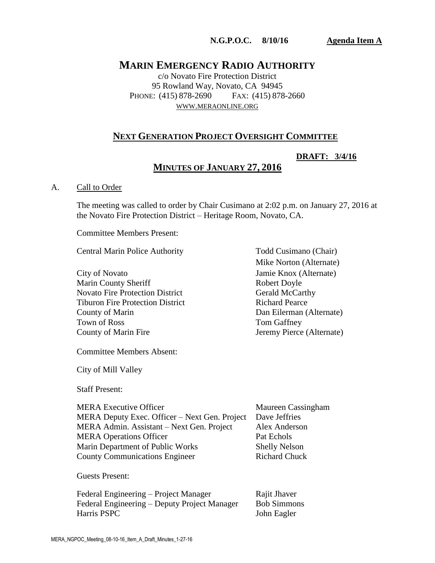#### **N.G.P.O.C. 8/10/16 Agenda Item A**

# **MARIN EMERGENCY RADIO AUTHORITY**

c/o Novato Fire Protection District 95 Rowland Way, Novato, CA 94945 PHONE: (415) 878-2690 FAX: (415) 878-2660 WWW.[MERAONLINE](http://www.meraonline.org/).ORG

## **NEXT GENERATION PROJECT OVERSIGHT COMMITTEE**

# **DRAFT: 3/4/16**

## **MINUTES OF JANUARY 27, 2016**

#### A. Call to Order

The meeting was called to order by Chair Cusimano at 2:02 p.m. on January 27, 2016 at the Novato Fire Protection District – Heritage Room, Novato, CA.

Committee Members Present:

Central Marin Police Authority Todd Cusimano (Chair)

City of Novato Jamie Knox (Alternate) Marin County Sheriff Robert Doyle Novato Fire Protection District Gerald McCarthy **Tiburon Fire Protection District Tiburon Richard Pearce** County of Marin Dan Eilerman (Alternate) Town of Ross County of Marin Fire

Mike Norton (Alternate) Tom Gaffney Jeremy Pierce (Alternate)

Committee Members Absent:

City of Mill Valley

Staff Present:

| <b>MERA Executive Officer</b>                 | Maureen Cassingham   |
|-----------------------------------------------|----------------------|
| MERA Deputy Exec. Officer – Next Gen. Project | Dave Jeffries        |
| MERA Admin. Assistant - Next Gen. Project     | Alex Anderson        |
| <b>MERA Operations Officer</b>                | Pat Echols           |
| Marin Department of Public Works              | <b>Shelly Nelson</b> |
| <b>County Communications Engineer</b>         | <b>Richard Chuck</b> |

Guests Present:

Federal Engineering – Project Manager Federal Engineering – Deputy Project Manager Harris PSPC Rajit Jhaver Bob Simmons John Eagler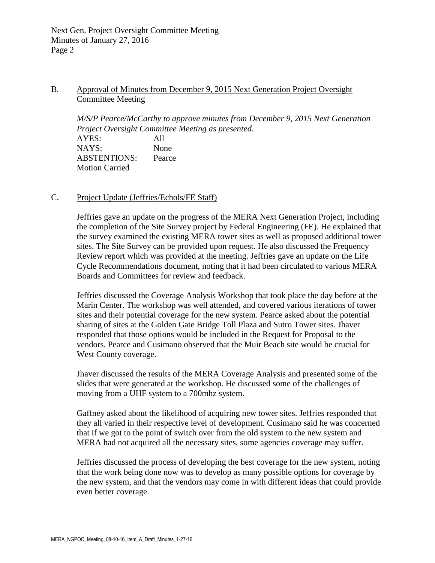## B. Approval of Minutes from December 9, 2015 Next Generation Project Oversight Committee Meeting

*M/S/P Pearce/McCarthy to approve minutes from December 9, 2015 Next Generation Project Oversight Committee Meeting as presented.*

AYES: All NAYS: None ABSTENTIONS: Pearce Motion Carried

#### C. Project Update (Jeffries/Echols/FE Staff)

Jeffries gave an update on the progress of the MERA Next Generation Project, including the completion of the Site Survey project by Federal Engineering (FE). He explained that the survey examined the existing MERA tower sites as well as proposed additional tower sites. The Site Survey can be provided upon request. He also discussed the Frequency Review report which was provided at the meeting. Jeffries gave an update on the Life Cycle Recommendations document, noting that it had been circulated to various MERA Boards and Committees for review and feedback.

Jeffries discussed the Coverage Analysis Workshop that took place the day before at the Marin Center. The workshop was well attended, and covered various iterations of tower sites and their potential coverage for the new system. Pearce asked about the potential sharing of sites at the Golden Gate Bridge Toll Plaza and Sutro Tower sites. Jhaver responded that those options would be included in the Request for Proposal to the vendors. Pearce and Cusimano observed that the Muir Beach site would be crucial for West County coverage.

Jhaver discussed the results of the MERA Coverage Analysis and presented some of the slides that were generated at the workshop. He discussed some of the challenges of moving from a UHF system to a 700mhz system.

Gaffney asked about the likelihood of acquiring new tower sites. Jeffries responded that they all varied in their respective level of development. Cusimano said he was concerned that if we got to the point of switch over from the old system to the new system and MERA had not acquired all the necessary sites, some agencies coverage may suffer.

Jeffries discussed the process of developing the best coverage for the new system, noting that the work being done now was to develop as many possible options for coverage by the new system, and that the vendors may come in with different ideas that could provide even better coverage.